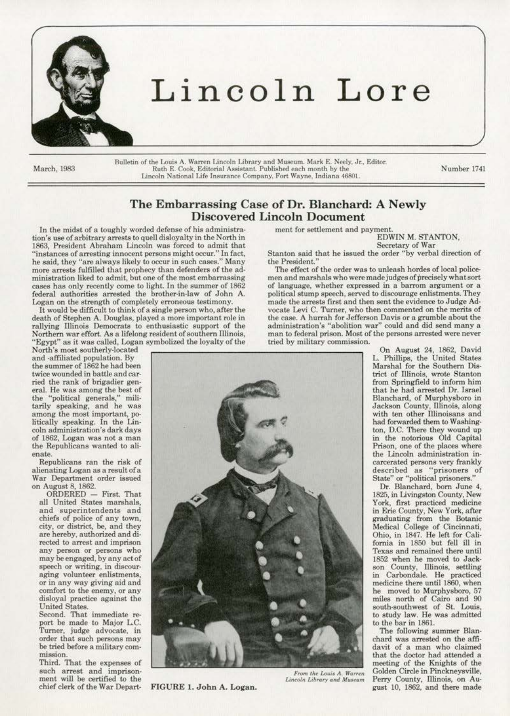

## Lincoln Lore

Bulletin of the Louis A. Warren Lincoln Library and Museum. Mark E. Neely, Jr., Editor.<br>Ruth E. Cook, Editorial Assistant. Published each month by the March, 1983 Ruth E. Cook, Editorial Assistant. Published each month by the Lincoln National Life Insurance Company. Fort Wayne. Indiana 46801.

Number 1741

### The Embarrassing Case of Dr. Blanchard: A Newly Discovered Lincoln Document

In the midst of a toughly worded defense of his administretion's use of arbitrary arrests to quell disloyalty in the North in 1863, President Abraham Lincoln was forced to admit that "instances of arresting innocent persons might occur." In fact, he said, they "are always likely to occur in such cases." Many more arrests fulfilled that prophecy than defenders of the administration liked to admit, but one of the most embarrassing cases has only recently come to light. In the summer of 1862 federal authorities arrested the brother-in-law of John A. Logan on the strength of completely erroneous testimony.

It would be difficult to think of a single person who, after the death of Stephen A. Douglas, played a more important role in rallying Ulinois Democrats to enthusiastic support of the Northern war effort. As a lifelong resident of southern Illinois, ''Egypt" as it was called, Logan symbolized the loyalty of the

North's most southerly-located and ·affiliated population. By the summer of 1862 he had been twice wounded in battle and car· ried the rank of brigadier gen· eral. He was among the best of the "political generals," mill· tarily speaking, and he waa among the most important, politically speaking. In the Lin· coin administration's dark days of 1862, Logan was not. a man the Republicans wanted to alienate.

Republicans ran the risk of<br>alienating Logan as a result of a War Department order issued on August 8, 1862.

ORDERED - First. That all United States marshals, and superintendents and chiefs of police of any town, city, or district, be, and they are hereby, authorized and di· rected to arrest and imprison any person or persons who may be engaged, by any act of speech or writing, in discouraging volunteer enlistments, or in any way giving aid and comfort to the enemy. or any disloyal practice against the United States.

Second. That immediate report be made to Major L.C.<br>Turner, judge advocate, in order that such persons may be tried before a military com- mission.

Third. That the expenses of such arrest and imprison· ment will be certified to the ment for settlement and payment.

EDWiN M. STANTON, Secretary of War

Stanton said that he issued the order "by verbal direction of the President.

The effect of the order was to unleash hordes of local policemen and marshals who were made judges of precisely what sort of language, whether expressed in a barrom argument or a political stump speech, served to discourage enlistments. They made the arrests first and then sent the evidence to Judge Ad· vocate Levi C. Turner, who then commented on the merits of the case. A hurrah for Jefferson Davis or a grumble about the<br>administration's "abolition war" could and did send many a  $m$ an to federal prison. Most of the persons arrested were never tried by military commission.



chief clerk of the War Depart· FIGURE 1. John A. Logan.

On August 24, 1862, David L. Phillips, the United States Marshal for the Southern District of Illinois, wrote Stanton from Springfield to inform him that he had arrested Dr. Israel Blanchard, of Murphysboro in Jackson County, Illinois, along with ten other Illinoisans and had forwarded them to Washing-<br>ton, D.C. There they wound up in the notorious Old Capital Prison, one of the places where the Lincoln administration in· carcerated persons very frankly described as "prisoners of State" or "political prisoners."

Or. Blanchard, born June 4, 1825, in Livingston County, New York, first practieed medicine in Erie County, New York, after graduating from the Botanic Medical College of Cincinnati, Ohio, in 1847. He left for Cali· fomia in 1850 but fell ill in Texas and remained there until 1852 when he moved to Jack· son County, Illinois, settling in Carbondale. He practieed medicine there until 1860, when he moved to Murphysboro, 57 miles north of Cairo and 90 south-southwest of St. Louis. to study law. He was admitted to the bar in 1861.

The following summer Blanchard was arrested on the affi-<br>davit of a man who claimed<br>that the doctor had attended a meeting of the Knights of the *From the Louis A. Warren* Golden Circle in Pinckneysville, *Lincoln Library and Museum* Perry County, Illinois, on Au-Lincoln Library and Museum Perry County, Illinois, on August 10, !862, and there made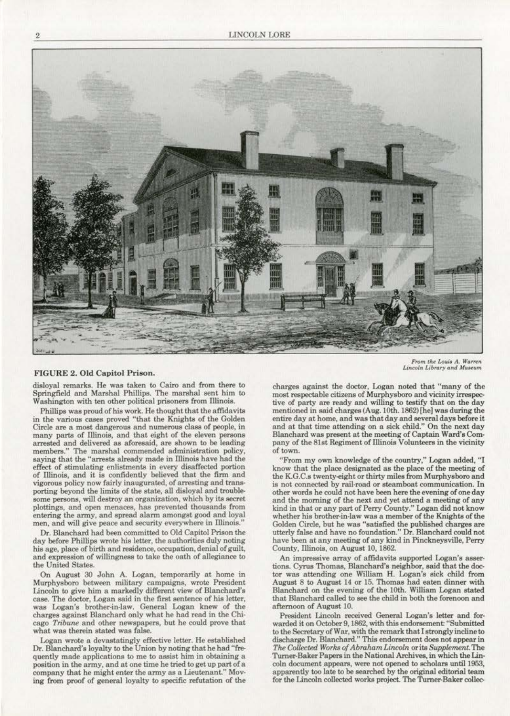

*From the Louis A. Warren*<br>*Lincoln Library and Museum* 

### FIGURE 2. Old Capitol Prison.

disloyal remarks. He was taken to Cairo and from there to Springfield and Marshal Phillips. The marshal sent him to Washington with ten other political prisoners from Illinois.

Phillips was proud of his work. He thought that the affidavits in the various eases proved "that the Knights of the Golden **Circle are a most dangerous and numerous class of people, in**  many parts of Illinois, and that eight of the eleven persons arrested and delivered as aforesaid, are shown to be leading members." The marshal commended administration policy, saying that the "arrests already made in Illinois have had the effect of stimulating enlistments in every disaffected portion of illinois, and it is confidently believed that the firm and **vigorous policy now fairly inaugurated, of arresting and trans**porting beyond the limits of the state, all disloyal and trouble**some persons, will destroy an organization. which by its secret plottings, and open menaces, has prevented thousands from**  entering the army, and spread alarm amongst good and loyal **men. and will give peace and security everywhere in Dlinois."** 

Or. Blanchard had been committed to Old Capitol Prison the day before Phillips wrote his letter, the authorities duly noting his age, place of birth and residence, occupation, denial of guilt, and expression of willingness to take the oath of allegiance to the United States.

On August 30 John A. Logan, temporarily at home in Murphysboro between military campaigns, wrote President Lincoln to give him a markedly different view of Blanchard's case. The doctor, Logan said in the first sentence of his letter, was Logan's brother-in-law. General Logan knew of the charges against Blanchard only what he had read in the Chicago *Tribune* and other newspapers, but he could prove that **what was therein stated was false.** 

Logan wrote a devastatingly effective letter. He established Dr. Blanchard's loyalty to the Union by noting that he had "fre**quently made applications** *to* **me** *to* **assist him in obtaining a**  position in the army, and at one time he tried to get up part of a company that he might enter the army as a Lieutenant." Moving from proof of general loyalty to specific refutation of the charges against the doctor, Logan noted that "many of the most respectable citizens of Murphysboro and vicinity irrespective of party are ready and willing to testify that on the day mentioned in said charges (Aug. 10th. 1862) [he] was during the entire day at home, and was that day and several days before it and at that time attending on a sick child." On the next day Blanchard was present at the meeting of Captain Ward's Company of the 8lst Regiment of IUinois Volunteers in the vicinity of town.

"From my own knowledge of the country," Logan added, "I know that the place designated as the place of tha meeting of the K.G.C.s twenty-eight or thirty miles from Murphysboro and **is not connected by rail·road or steamboat communication. In other words he could not have been here the evening of one day**  and the moming of the next and yet attend a meeting of any kind in that or any part of Perry County." Logan did not know whether his brother-in-law was a member of the Knights of the Golden Circle, but he was "satisfied the published charges are utterly false and have no foundation." Or. Blanchard could not have been at any meeting of any kind in Pinckneysville, Perry County, illinois, on August 10, 1862.

**An impressive array of affidavits supported Logan's asser**tions. Cyrus Thomas, Blanchard's neighbor, said that the doctor was attending one William H. Logan's sick child from August 8 to August 14 or 15. Thomas had eaten dinner with Blanchard on the evening of the LOth. William Logan stated that Blanchard called to see the child in both the forenoon and afternoon of August 10.

President Lincoln received General Logan's letter and forwarded it on October9,1862, with this endorsement "Submitted to the Secretary of War, with the remark that I strongly incline to discharge Or. Blanchard." This endorsement does not appear in *The Collected Works of Abraham Lincoln or its Supplement. The* Turner-Baker Papers in the National Archives, in which the Lincoln document appears, were not opened to scholars until 1953, apparently too late to be searched by the original editorial team for the Lincoln collected works project. The Turner-Baker collec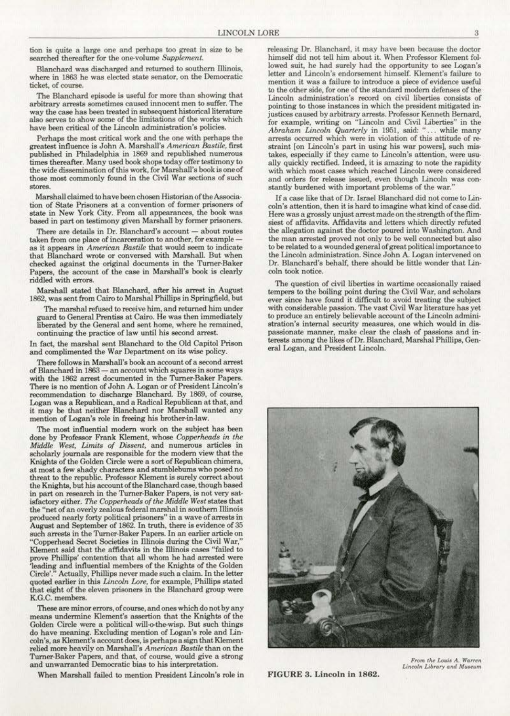tion is quite a large one and perhaps too great in size to be searched thereafter for the one-volume Supplement.

Blanchard was discharged and returned to southern illinois, where in 1863 he was elected state senator, on the Democratic ticket, of course.

The Blanchard episode is useful for more than showing that **arbitrary arrests sometimes caused innocent men** *to* **suffer. The**  way the case has been treated in subsequent historical literature **also serves** *to* **show some of the limitations of the works which**  have been critical of the Lincoln administration's policies.

Perhaps the most critical work and the one with perhaps the greatest influence is John A. Marshall's *American Bastile*, first published in Philadelphia in 1869 and republished numerous times thereafter. Many used book shops today offer testimony to **the wide dissemination of this work, for Marshall's book isoneof those most commonly found in the Civil War sections of such**  stares.

Marshall claimed to have been chosen Historian oftheAssocia· **tion of State Prisoners at a convention of fonner prisoners of**  based in part on testimony given Marshall by former prisoners.

**There are details in Or. Blanchard's account- about routes taken from one plaoe of incarceration to another, for example**  as it appears in *American Bastile* that would seem to indicate that Blanchard wrote or conversed with Marshall. But when checked against the original documents in the Turner-Baker Papers, the account of the case in Marshall's book is clearly riddled with errors.

Marshall stated that Blanchard, after his arrest in August 1862, was sent from Cairo to Marshal Phillips in Springfield, but

The marshal refused to receive him, and returned him under guard to General Prentiss at Cairo. He was then immediately liberated by the General and sent home, where he remained, **oontinuing the practioe of law until his second arrest.** 

In fact, the marshal sent Blanchard to the Old Capitol Prison and complimented the War Department on its wise policy.

There follows in Marshall's book an account of a second arrest **of Blanchard in 1868-an account which squares in some ways**  with the 1862 arrest documented in the Turner-Baker Papers. There is no mention of John A. Logan or of President Lincoln's recommendation to discharge Blanchard. By 1869. of course, Logan was a Republican, and a Radical Republican at that, and it may be that neither Blanchard nor Marshall wanted any mention of Logan's role in freeing his brother-in-law.

The most influential modern work on the subject has been done by Professor Frank Klement, whose *Copperheads in the Middle \Vest, Limits of Dissent,* and numerous articles in scholarly journals are responsible for the modern view that the Knights of the Golden Circle were a aort of Republican chimera, at most a few shady characters and stumblebums who posed no threat to the republic. Professor Klement is surely correct about the Knights, but his account of the Blanchard case, though based in part on research in the Turner-Baker Papers, is not very satisfactory either. *The Copperheads of the Middle \Vest* states that **the "net of an overly zealous federal marshal in southern lllinois produced nearly forty political prisoners" in a wave of arrests in**  August and September of 1862. In truth, there is evidence of 35 such arrests in the Turner-Baker Papers. In an earlier article on "Copperhead Secret Societies in Dlinois during the Civil War," Klement said that the affidavits in the Illinois cases "failed to prove Phillips' contention that all whom he had arrested were<br>'leading and influential members of the Knights of the Golden Circle'." Actually, Phillips never made such a claim. In the letter quoted earlier in this *Lincoln Lore*, for example, Phillips stated that eight of the eleven prisoners in the Blanchard group were K.G.C. members.

**These are minor errors, of course, and ones which do not by any**  means undermine Klement's assertion that the Knights of the Golden Circle were a political will-o-the-wisp. But such things do have meaning. Excluding mention of Logan's role and Lin· coln's, as Klement's account does, is perhaps a sign that Klement relied more heavily on Marshall's *American Bastile* than on the Turner-Baker Papers, and that, of course, would give a strong **and unwarranted Democratic bias to his interpretation.** 

When Marshall failed to mention President lincoln's role in

releasing Dr. Blanchard, it may have been because the doctor lowed suit, he had surely had the opportunity to see Logan's letter and Lincoln's endorsement himself. Klement's failure to **mention it was a failure to introduce a piece of evidence useful**  to the other side, for one of the standard modern defenses of the **Lincoln administration's record on civil liberties consists of pointing to those insta\_nces in which the president mitigated in·**  justices caused by arbitrary arrests. Professor Kenneth Bernard, for example, writing on "Lincoln and Civil Liberties" in the *Abraham Lincoln Quarterly* in 1951, said: "... while many arrests occurred which were in violation of this attitude of re**straint [on Lincoln's part in using his war powers]. such mis**takes, especially if they came to Lincoln's attention, were usually quickly rectified. Indeed, it is amazing to note the rapidity **with which most cases which reached Lincoln were considered**  and orders for release issued, even though Lincoln was constantly burdened with important problems of the war."

If a case like that of Dr. lsrael Blanchard did not come to Lin· coln's attention, then it is hard to imagine what kind of case did. Here was a grossly unjust arrest made on the strength of the flimsiest of affidavits. Affidavits and letters which directly refuted the allegation against the doctor poured into Washington. And the man arrested proved not only to be well connected but alao to be related to a wounded general of great political importance to **the Lincoln adminisb'ation. Since John A. logan intervened on**  Dr. Blanchard's behalf, there should be little wonder that Lin· **coln took notice.** 

The question of civil liberties in wartime occasionally raised tempers to the boiling point during the Civil War, and scholars **ever since have found it difficult to avoid treating the subject**  with considerable passion. The vast Civil War literature has yet to produce an entirely believable account of the Lincoln administration's internal security measures, one which would in dispassionate manner, make clear the clash of passions and in-<br>terests among the likes of Dr. Blanchard, Marshal Phillips, General Logan, and President Lincoln.



FIGURE 3. Lincoln in 1862.

*From the Louis A. Warren Lincoln Library* and Museum